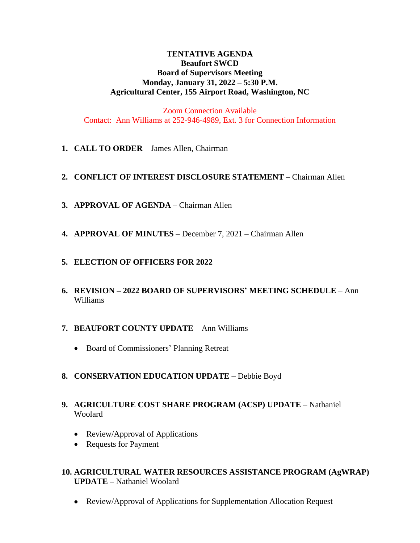# **TENTATIVE AGENDA Beaufort SWCD Board of Supervisors Meeting Monday, January 31, 2022 – 5:30 P.M. Agricultural Center, 155 Airport Road, Washington, NC**

Zoom Connection Available Contact: Ann Williams at 252-946-4989, Ext. 3 for Connection Information

**1. CALL TO ORDER** – James Allen, Chairman

# **2. CONFLICT OF INTEREST DISCLOSURE STATEMENT** – Chairman Allen

- **3. APPROVAL OF AGENDA** Chairman Allen
- **4. APPROVAL OF MINUTES** December 7, 2021 Chairman Allen

# **5. ELECTION OF OFFICERS FOR 2022**

**6. REVISION – 2022 BOARD OF SUPERVISORS' MEETING SCHEDULE** – Ann Williams

# **7. BEAUFORT COUNTY UPDATE** – Ann Williams

- Board of Commissioners' Planning Retreat
- **8. CONSERVATION EDUCATION UPDATE** Debbie Boyd
- **9. AGRICULTURE COST SHARE PROGRAM (ACSP) UPDATE** Nathaniel Woolard
	- Review/Approval of Applications
	- Requests for Payment

# **10. AGRICULTURAL WATER RESOURCES ASSISTANCE PROGRAM (AgWRAP) UPDATE –** Nathaniel Woolard

Review/Approval of Applications for Supplementation Allocation Request